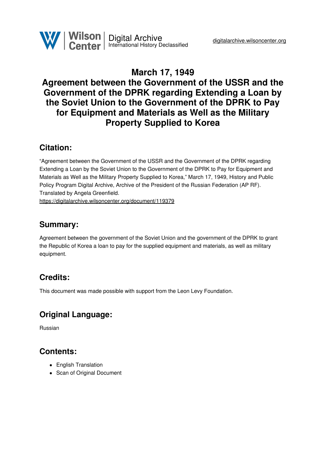## **March 17, 1949 Agreement between the Government of the USSR and the Government of the DPRK regarding Extending a Loan by the Soviet Union to the Government of the DPRK to Pay for Equipment and Materials as Well as the Military Property Supplied to Korea**

## **Citation:**

"Agreement between the Government of the USSR and the Government of the DPRK regarding Extending a Loan by the Soviet Union to the Government of the DPRK to Pay for Equipment and Materials as Well as the Military Property Supplied to Korea," March 17, 1949, History and Public Policy Program Digital Archive, Archive of the President of the Russian Federation (AP RF). Translated by Angela Greenfield. <https://digitalarchive.wilsoncenter.org/document/119379>

## **Summary:**

Agreement between the government of the Soviet Union and the government of the DPRK to grant the Republic of Korea a loan to pay for the supplied equipment and materials, as well as military equipment.

# **Credits:**

This document was made possible with support from the Leon Levy Foundation.

## **Original Language:**

Russian

## **Contents:**

- English Translation
- Scan of Original Document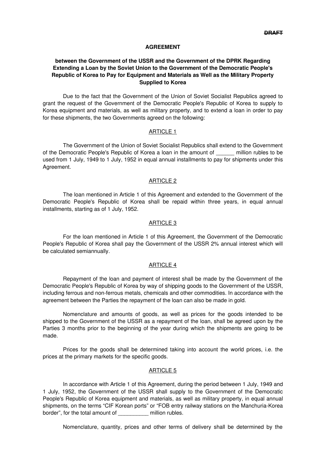#### **AGREEMENT**

### **between the Government of the USSR and the Government of the DPRK Regarding Extending a Loan by the Soviet Union to the Government of the Democratic People's Republic of Korea to Pay for Equipment and Materials as Well as the Military Property Supplied to Korea**

Due to the fact that the Government of the Union of Soviet Socialist Republics agreed to grant the request of the Government of the Democratic People's Republic of Korea to supply to Korea equipment and materials, as well as military property, and to extend a loan in order to pay for these shipments, the two Governments agreed on the following:

#### ARTICLE 1

The Government of the Union of Soviet Socialist Republics shall extend to the Government of the Democratic People's Republic of Korea a loan in the amount of The million rubles to be used from 1 July, 1949 to 1 July, 1952 in equal annual installments to pay for shipments under this Agreement.

#### ARTICLE 2

The loan mentioned in Article 1 of this Agreement and extended to the Government of the Democratic People's Republic of Korea shall be repaid within three years, in equal annual installments, starting as of 1 July, 1952.

#### ARTICLE 3

For the loan mentioned in Article 1 of this Agreement, the Government of the Democratic People's Republic of Korea shall pay the Government of the USSR 2% annual interest which will be calculated semiannually.

#### ARTICLE 4

Repayment of the loan and payment of interest shall be made by the Government of the Democratic People's Republic of Korea by way of shipping goods to the Government of the USSR, including ferrous and non-ferrous metals, chemicals and other commodities. In accordance with the agreement between the Parties the repayment of the loan can also be made in gold.

Nomenclature and amounts of goods, as well as prices for the goods intended to be shipped to the Government of the USSR as a repayment of the loan, shall be agreed upon by the Parties 3 months prior to the beginning of the year during which the shipments are going to be made.

Prices for the goods shall be determined taking into account the world prices, i.e. the prices at the primary markets for the specific goods.

#### ARTICLE 5

In accordance with Article 1 of this Agreement, during the period between 1 July, 1949 and 1 July, 1952, the Government of the USSR shall supply to the Government of the Democratic People's Republic of Korea equipment and materials, as well as military property, in equal annual shipments, on the terms "CIF Korean ports" or "FOB entry railway stations on the Manchuria-Korea border", for the total amount of million rubles.

Nomenclature, quantity, prices and other terms of delivery shall be determined by the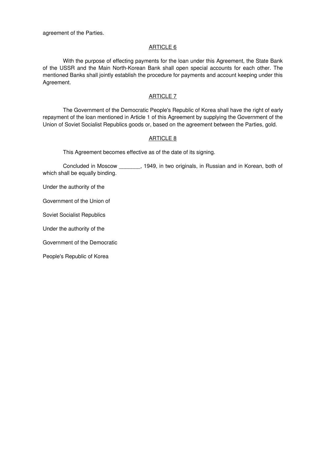agreement of the Parties.

#### ARTICLE 6

With the purpose of effecting payments for the loan under this Agreement, the State Bank of the USSR and the Main North-Korean Bank shall open special accounts for each other. The mentioned Banks shall jointly establish the procedure for payments and account keeping under this Agreement.

#### ARTICLE 7

The Government of the Democratic People's Republic of Korea shall have the right of early repayment of the loan mentioned in Article 1 of this Agreement by supplying the Government of the Union of Soviet Socialist Republics goods or, based on the agreement between the Parties, gold.

#### ARTICLE 8

This Agreement becomes effective as of the date of its signing.

Concluded in Moscow \_\_\_\_\_\_\_, 1949, in two originals, in Russian and in Korean, both of which shall be equally binding.

Under the authority of the

Government of the Union of

Soviet Socialist Republics

Under the authority of the

Government of the Democratic

People's Republic of Korea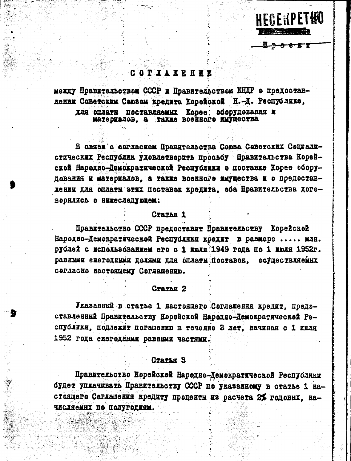### COPIANEREE

adi watis

между Правительством СССР и Правительством ИНДР о предоставлении Советским Союзом кредита Корейской Н.-Д. Республике, для оплати поставляемых Корее оборудования и Matephalob. A Takke BoeHHoro KaymecTBa

**HECEKPETHO** 

В связи с согласием Правительства Союза Севетских Социалистических Республик удовлетворить просьбу Правительства Корейской Народно-Демократической Республики о поставке Корее оборудования и материалов, а также военного имущества и о предоставдении для оплаты этих поставок кредита, оба Правительства дого-ВООИЛИСЬ О НИКАСЛАПУЮЩАМ:

### CTATha 1

Правительство СССР предоставит Правительству Корейской Народно-Демократической Республики кредит в размере ..... млн. рублей с использованием его с 1 июля 1949 года по 1 июля 1952г. равными ехегодными долями для оплати поставов, осуществляемых согласно настоящему Согланению.

### CTATLE 2

Указанный в статье 1 настоящего Соглашения кредит, предоставленный Правительству Корейской Народно-Демократической Республики, подлежит погашению в течение 3 лет, начиная с 1 июля 1952 года ежегоднных равными частями.

### **CTATAH S**

Правительство Корейской Народно-Демократической Республики будет уплачивать Правительству СССР по указанному в статье 1 настоящего Соглашения кредиту проценты из расчета 2% головых. начисляемнх по полугодиям.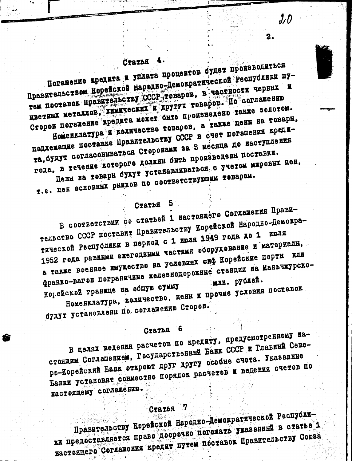### Статья

Погашение кредита и уплата процентов будет производиться Правительством Корейской Народно-Демократической Республики пу-TEM HOCTABOR UPABHTCHECTBY CCCP TOB8POB, B TACTHOCTH TEPHHX H пветных металлов, химических и другух товаров. По соглашению Сторов погажение кредита может быть произведено также золотом. Номенклатура и количество товаров, а также цены на товарн.

 $J \mathcal{D}$ 

 $2.$ 

подлежащие поставке Правительству СССР в счет погашения кредита, будут согласовываться Сторонами за З месяца до наступления года, в течение которого должны быть произведены поставки. Цены на товари будут устанавляваться с учетом мирових цен.

T.e. Hen OCHOBHHI PHHKOB HO COOTBETCTBYDMHM TOBAPAM.

Статья 5

В соответствии со статьей 1 настоящего Соглашения Правительство СССР поставит Правительству Корейской Народно-Демократической Республики в период с 1 июля 1949 года до 1 июля 1952 года равными ежегодными частями оборудование и материали, а также военное имущество на условиях сиф Корейские порты или франко-вагов пограничные железнодорожные станции на Маньчжурско-Ногейской гранкце на общую сумму Номенклатура, количество, цены и прочие условия поставок

будут установлены по соглашению Сторон.

#### - 6 Статья

В целях ведения расчетов по кредиту, предусмотренному настоящим Соглашением, Государственный Банк СССР и Главный Северо-Корейский Банк откроют друг другу особне счета. Указанные Банки установят совместно порядок расчетов и ведения счетов по настоящему соглашению.

## CTATLE 7

Правительству Корейской Народно-Демократической Республики предоставляется право досрочно погашать указанный в статье 1 настоящего Соглашения кредит путем поставок Правительству Совза